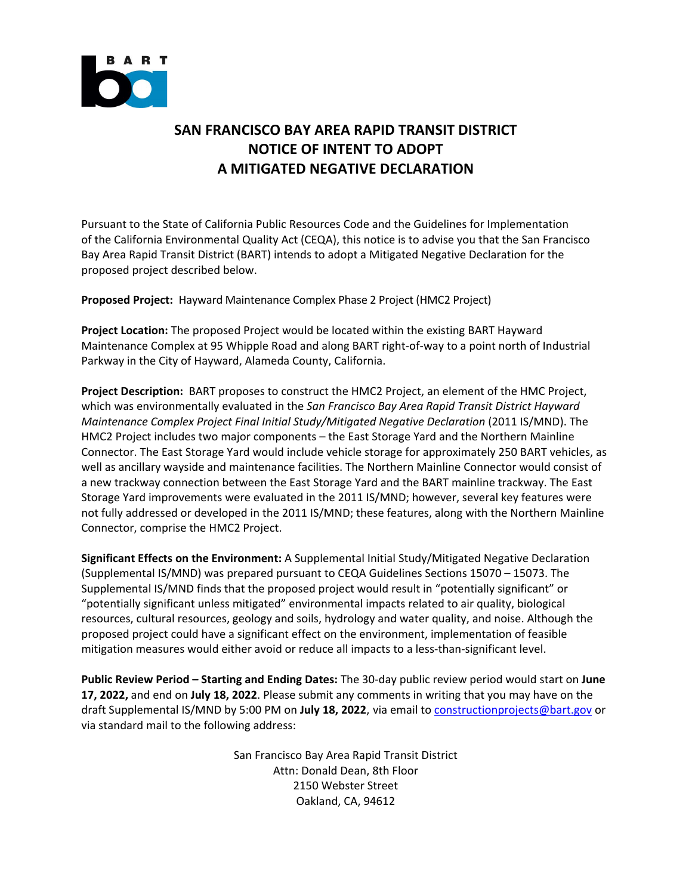

## **SAN FRANCISCO BAY AREA RAPID TRANSIT DISTRICT NOTICE OF INTENT TO ADOPT A MITIGATED NEGATIVE DECLARATION**

Pursuant to the State of California Public Resources Code and the Guidelines for Implementation of the California Environmental Quality Act (CEQA), this notice is to advise you that the San Francisco Bay Area Rapid Transit District (BART) intends to adopt a Mitigated Negative Declaration for the proposed project described below.

**Proposed Project:** Hayward Maintenance Complex Phase 2 Project (HMC2 Project)

**Project Location:** The proposed Project would be located within the existing BART Hayward Maintenance Complex at 95 Whipple Road and along BART right‐of‐way to a point north of Industrial Parkway in the City of Hayward, Alameda County, California.

**Project Description:** BART proposes to construct the HMC2 Project, an element of the HMC Project, which was environmentally evaluated in the *San Francisco Bay Area Rapid Transit District Hayward Maintenance Complex Project Final Initial Study/Mitigated Negative Declaration* (2011 IS/MND). The HMC2 Project includes two major components – the East Storage Yard and the Northern Mainline Connector. The East Storage Yard would include vehicle storage for approximately 250 BART vehicles, as well as ancillary wayside and maintenance facilities. The Northern Mainline Connector would consist of a new trackway connection between the East Storage Yard and the BART mainline trackway. The East Storage Yard improvements were evaluated in the 2011 IS/MND; however, several key features were not fully addressed or developed in the 2011 IS/MND; these features, along with the Northern Mainline Connector, comprise the HMC2 Project.

**Significant Effects on the Environment:** A Supplemental Initial Study/Mitigated Negative Declaration (Supplemental IS/MND) was prepared pursuant to CEQA Guidelines Sections 15070 – 15073. The Supplemental IS/MND finds that the proposed project would result in "potentially significant" or "potentially significant unless mitigated" environmental impacts related to air quality, biological resources, cultural resources, geology and soils, hydrology and water quality, and noise. Although the proposed project could have a significant effect on the environment, implementation of feasible mitigation measures would either avoid or reduce all impacts to a less-than-significant level.

**Public Review Period – Starting and Ending Dates:** The 30‐day public review period would start on **June 17, 2022,** and end on **July 18, 2022**. Please submit any comments in writing that you may have on the draft Supplemental IS/MND by 5:00 PM on **July 18, 2022**, via email to constructionprojects@bart.gov or via standard mail to the following address:

> San Francisco Bay Area Rapid Transit District Attn: Donald Dean, 8th Floor 2150 Webster Street Oakland, CA, 94612